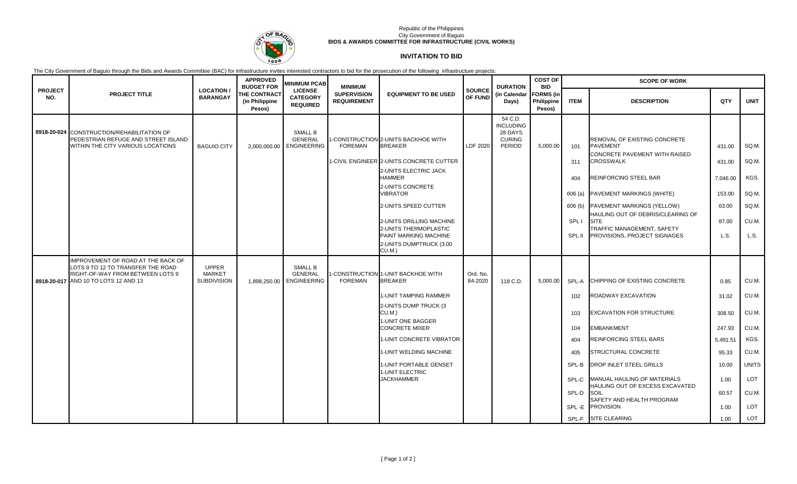

## Republic of the Philippines City Government of Baguio **BIDS & AWARDS COMMITTEE FOR INFRASTRUCTURE (CIVIL WORKS)**

## **INVITATION TO BID**

The City Government of Baguio through the Bids and Awards Committee (BAC) for Infrastructure invites interested contractors to bid for the prosecution of the following infrastructure projects:

|                       |                                                                                                                                                     |                                                     | <b>APPROVED</b><br><b>BUDGET FOR</b>            | <b>MINIMUM PCAB</b>                                    | <b>MINIMUM</b>                           |                                                                                                                                                                                                                                                                                                                               |                          | <b>DURATION</b>                                                   | <b>COST OF</b><br><b>BID</b><br><b>FORMS (in</b><br>Philippine<br>Pesos) | <b>SCOPE OF WORK</b>                                                         |                                                                                                                                                                                                                                                                                                                                                                       |                                                                                                  |                                                                                                        |
|-----------------------|-----------------------------------------------------------------------------------------------------------------------------------------------------|-----------------------------------------------------|-------------------------------------------------|--------------------------------------------------------|------------------------------------------|-------------------------------------------------------------------------------------------------------------------------------------------------------------------------------------------------------------------------------------------------------------------------------------------------------------------------------|--------------------------|-------------------------------------------------------------------|--------------------------------------------------------------------------|------------------------------------------------------------------------------|-----------------------------------------------------------------------------------------------------------------------------------------------------------------------------------------------------------------------------------------------------------------------------------------------------------------------------------------------------------------------|--------------------------------------------------------------------------------------------------|--------------------------------------------------------------------------------------------------------|
| <b>PROJECT</b><br>NO. | <b>PROJECT TITLE</b>                                                                                                                                | <b>LOCATION</b><br><b>BARANGAY</b>                  | <b>THE CONTRACT</b><br>(in Philippine<br>Pesos) | <b>LICENSE</b><br><b>CATEGORY</b><br><b>REQUIRED</b>   | <b>SUPERVISION</b><br><b>REQUIREMENT</b> | <b>EQUIPMENT TO BE USED</b>                                                                                                                                                                                                                                                                                                   | <b>SOURCE</b><br>OF FUND | (in Calendar<br>Days)                                             |                                                                          | <b>ITEM</b>                                                                  | <b>DESCRIPTION</b>                                                                                                                                                                                                                                                                                                                                                    | QTY                                                                                              | <b>UNIT</b>                                                                                            |
|                       | 8918-20-024 CONSTRUCTION/REHABILITATION OF<br>PEDESTRIAN REFUGE AND STREET ISLAND<br>WITHIN THE CITY VARIOUS LOCATIONS                              | <b>BAGUIO CITY</b>                                  | 2,000,000.00                                    | <b>SMALL B</b><br><b>GENERAL</b><br><b>ENGINEERING</b> | <b>FOREMAN</b>                           | 1-CONSTRUCTION 2-UNITS BACKHOE WITH<br><b>BREAKER</b><br>1-CIVIL ENGINEER 2-UNITS CONCRETE CUTTER<br>2-UNITS ELECTRIC JACK<br><b>HAMMER</b><br>2-UNITS CONCRETE<br><b>/IBRATOR</b><br>2-UNITS SPEED CUTTER<br>2-UNITS DRILLING MACHINE<br>2-UNITS THERMOPLASTIC<br>PAINT MARKING MACHINE<br>2-UNITS DUMPTRUCK (3.00<br>CU.M.) | LDF 2020                 | 54 C.D.<br><b>INCLUDING</b><br>28 DAYS<br><b>CURING</b><br>PERIOD | 5,000.00                                                                 | 101<br>311<br>404<br>606(a)<br>606 (b)<br>SPL I<br>SPL II                    | <b>REMOVAL OF EXISTING CONCRETE</b><br><b>PAVEMENT</b><br>CONCRETE PAVEMENT WITH RAISED<br><b>CROSSWALK</b><br>REINFORCING STEEL BAR<br><b>PAVEMENT MARKINGS (WHITE)</b><br>PAVEMENT MARKINGS (YELLOW)<br>HAULING OUT OF DEBRIS/CLEARING OF<br><b>SITE</b><br>TRAFFIC MANAGEMENT, SAFETY<br>PROVISIONS, PROJECT SIGNAGES                                              | 431.00<br>431.00<br>7,046.00<br>153.00<br>63.00<br>87.00<br>L.S.                                 | SQ.M.<br>SQ.M.<br>KGS.<br>SQ.M.<br>SQ.M.<br>CU.M.<br>L.S.                                              |
|                       | IMPROVEMENT OF ROAD AT THE BACK OF<br>LOTS 9 TO 12 TO TRANSFER THE ROAD<br>RIGHT-OF-WAY FROM BETWEEN LOTS 9<br>8918-20-017 AND 10 TO LOTS 12 AND 13 | <b>UPPER</b><br><b>MARKET</b><br><b>SUBDIVISION</b> | 1,898,250.00                                    | <b>SMALL B</b><br><b>GENERAL</b><br><b>ENGINEERING</b> | <b>FOREMAN</b>                           | -CONSTRUCTION 1-UNIT BACKHOE WITH<br><b>BREAKER</b><br><b>1-UNIT TAMPING RAMMER</b><br>2-UNITS DUMP TRUCK (3<br>CU.M.)<br>1-UNIT ONE BAGGER<br><b>CONCRETE MIXER</b><br>1-UNIT CONCRETE VIBRATOR<br>1-UNIT WELDING MACHINE<br>1-UNIT PORTABLE GENSET<br>1-UNIT ELECTRIC<br><b>JACKHAMMER</b>                                  | Ord. No.<br>84-2020      | 118 C.D.                                                          | 5.000.00                                                                 | SPL-A<br>102<br>103<br>104<br>404<br>405<br>SPL-B<br>SPL-C<br>SPL-D<br>SPL-E | <b>CHIPPING OF EXISTING CONCRETE</b><br>ROADWAY EXCAVATION<br><b>EXCAVATION FOR STRUCTURE</b><br><b>EMBANKMENT</b><br><b>REINFORCING STEEL BARS</b><br><b>STRUCTURAL CONCRETE</b><br><b>DROP INLET STEEL GRILLS</b><br>MANUAL HAULING OF MATERIALS<br>HAULING OUT OF EXCESS EXCAVATED<br>SOIL<br>SAFETY AND HEALTH PROGRAM<br><b>PROVISION</b><br>SPL-F SITE CLEARING | 0.85<br>31.02<br>308.50<br>247.93<br>5,491.51<br>95.33<br>10.00<br>1.00<br>60.57<br>1.00<br>1.00 | CU.M.<br>CU.M.<br>CU.M.<br>CU.M.<br>KGS.<br>CU.M.<br><b>UNITS</b><br>LOT<br>CU.M.<br><b>LOT</b><br>LOT |